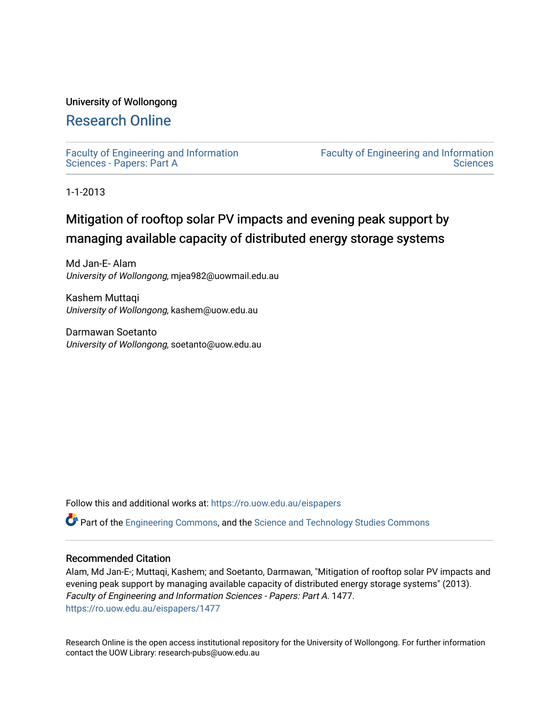# University of Wollongong

# [Research Online](https://ro.uow.edu.au/)

[Faculty of Engineering and Information](https://ro.uow.edu.au/eispapers)  [Sciences - Papers: Part A](https://ro.uow.edu.au/eispapers) 

[Faculty of Engineering and Information](https://ro.uow.edu.au/eis)  **Sciences** 

1-1-2013

# Mitigation of rooftop solar PV impacts and evening peak support by managing available capacity of distributed energy storage systems

Md Jan-E- Alam University of Wollongong, mjea982@uowmail.edu.au

Kashem Muttaqi University of Wollongong, kashem@uow.edu.au

Darmawan Soetanto University of Wollongong, soetanto@uow.edu.au

Follow this and additional works at: [https://ro.uow.edu.au/eispapers](https://ro.uow.edu.au/eispapers?utm_source=ro.uow.edu.au%2Feispapers%2F1477&utm_medium=PDF&utm_campaign=PDFCoverPages)

Part of the [Engineering Commons](http://network.bepress.com/hgg/discipline/217?utm_source=ro.uow.edu.au%2Feispapers%2F1477&utm_medium=PDF&utm_campaign=PDFCoverPages), and the [Science and Technology Studies Commons](http://network.bepress.com/hgg/discipline/435?utm_source=ro.uow.edu.au%2Feispapers%2F1477&utm_medium=PDF&utm_campaign=PDFCoverPages)

### Recommended Citation

Alam, Md Jan-E-; Muttaqi, Kashem; and Soetanto, Darmawan, "Mitigation of rooftop solar PV impacts and evening peak support by managing available capacity of distributed energy storage systems" (2013). Faculty of Engineering and Information Sciences - Papers: Part A. 1477. [https://ro.uow.edu.au/eispapers/1477](https://ro.uow.edu.au/eispapers/1477?utm_source=ro.uow.edu.au%2Feispapers%2F1477&utm_medium=PDF&utm_campaign=PDFCoverPages) 

Research Online is the open access institutional repository for the University of Wollongong. For further information contact the UOW Library: research-pubs@uow.edu.au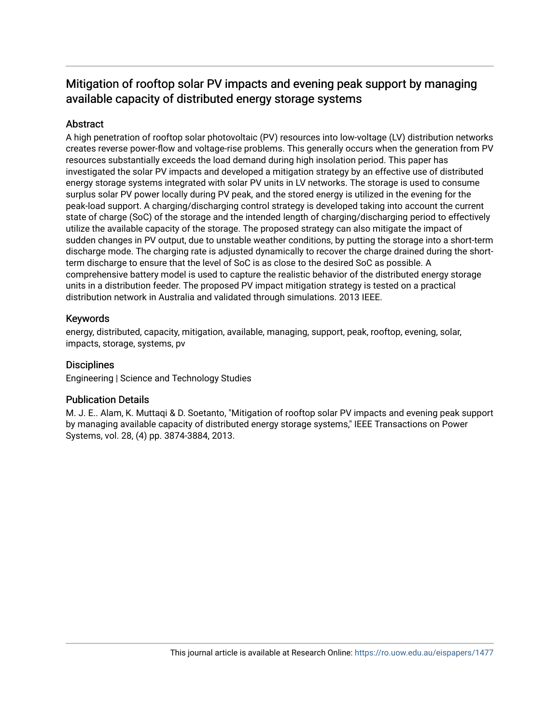# Mitigation of rooftop solar PV impacts and evening peak support by managing available capacity of distributed energy storage systems

# Abstract

A high penetration of rooftop solar photovoltaic (PV) resources into low-voltage (LV) distribution networks creates reverse power-flow and voltage-rise problems. This generally occurs when the generation from PV resources substantially exceeds the load demand during high insolation period. This paper has investigated the solar PV impacts and developed a mitigation strategy by an effective use of distributed energy storage systems integrated with solar PV units in LV networks. The storage is used to consume surplus solar PV power locally during PV peak, and the stored energy is utilized in the evening for the peak-load support. A charging/discharging control strategy is developed taking into account the current state of charge (SoC) of the storage and the intended length of charging/discharging period to effectively utilize the available capacity of the storage. The proposed strategy can also mitigate the impact of sudden changes in PV output, due to unstable weather conditions, by putting the storage into a short-term discharge mode. The charging rate is adjusted dynamically to recover the charge drained during the shortterm discharge to ensure that the level of SoC is as close to the desired SoC as possible. A comprehensive battery model is used to capture the realistic behavior of the distributed energy storage units in a distribution feeder. The proposed PV impact mitigation strategy is tested on a practical distribution network in Australia and validated through simulations. 2013 IEEE.

# Keywords

energy, distributed, capacity, mitigation, available, managing, support, peak, rooftop, evening, solar, impacts, storage, systems, pv

# **Disciplines**

Engineering | Science and Technology Studies

# Publication Details

M. J. E.. Alam, K. Muttaqi & D. Soetanto, "Mitigation of rooftop solar PV impacts and evening peak support by managing available capacity of distributed energy storage systems," IEEE Transactions on Power Systems, vol. 28, (4) pp. 3874-3884, 2013.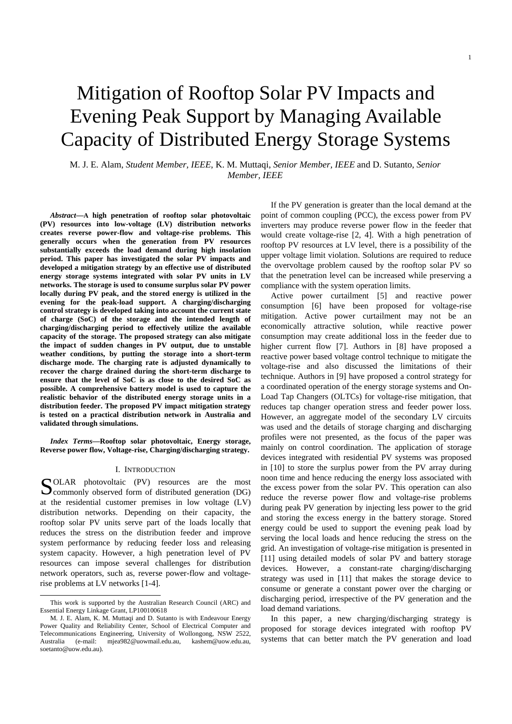# Mitigation of Rooftop Solar PV Impacts and Evening Peak Support by Managing Available Capacity of Distributed Energy Storage Systems

M. J. E. Alam, *Student Member, IEEE*, K. M. Muttaqi, *Senior Member, IEEE* and D. Sutanto, *Senior Member, IEEE* 

*Abstract***—A high penetration of rooftop solar photovoltaic (PV) resources into low-voltage (LV) distribution networks creates reverse power-flow and voltage-rise problems. This generally occurs when the generation from PV resources substantially exceeds the load demand during high insolation period. This paper has investigated the solar PV impacts and developed a mitigation strategy by an effective use of distributed energy storage systems integrated with solar PV units in LV networks. The storage is used to consume surplus solar PV power locally during PV peak, and the stored energy is utilized in the evening for the peak-load support. A charging/discharging control strategy is developed taking into account the current state of charge (SoC) of the storage and the intended length of charging/discharging period to effectively utilize the available capacity of the storage. The proposed strategy can also mitigate the impact of sudden changes in PV output, due to unstable weather conditions, by putting the storage into a short-term discharge mode. The charging rate is adjusted dynamically to recover the charge drained during the short-term discharge to ensure that the level of SoC is as close to the desired SoC as possible. A comprehensive battery model is used to capture the realistic behavior of the distributed energy storage units in a distribution feeder. The proposed PV impact mitigation strategy is tested on a practical distribution network in Australia and validated through simulations.** 

*Index Terms***—Rooftop solar photovoltaic, Energy storage, Reverse power flow, Voltage-rise, Charging/discharging strategy.** 

#### I. INTRODUCTION

OLAR photovoltaic (PV) resources are the most SOLAR photovoltaic (PV) resources are the most commonly observed form of distributed generation (DG) at the residential customer premises in low voltage (LV) distribution networks. Depending on their capacity, the rooftop solar PV units serve part of the loads locally that reduces the stress on the distribution feeder and improve system performance by reducing feeder loss and releasing system capacity. However, a high penetration level of PV resources can impose several challenges for distribution network operators, such as, reverse power-flow and voltagerise problems at LV networks [1-4].

If the PV generation is greater than the local demand at the point of common coupling (PCC), the excess power from PV inverters may produce reverse power flow in the feeder that would create voltage-rise [2, 4]. With a high penetration of rooftop PV resources at LV level, there is a possibility of the upper voltage limit violation. Solutions are required to reduce the overvoltage problem caused by the rooftop solar PV so that the penetration level can be increased while preserving a compliance with the system operation limits.

Active power curtailment [5] and reactive power consumption [6] have been proposed for voltage-rise mitigation. Active power curtailment may not be an economically attractive solution, while reactive power consumption may create additional loss in the feeder due to higher current flow [7]. Authors in [8] have proposed a reactive power based voltage control technique to mitigate the voltage-rise and also discussed the limitations of their technique. Authors in [9] have proposed a control strategy for a coordinated operation of the energy storage systems and On-Load Tap Changers (OLTCs) for voltage-rise mitigation, that reduces tap changer operation stress and feeder power loss. However, an aggregate model of the secondary LV circuits was used and the details of storage charging and discharging profiles were not presented, as the focus of the paper was mainly on control coordination. The application of storage devices integrated with residential PV systems was proposed in [10] to store the surplus power from the PV array during noon time and hence reducing the energy loss associated with the excess power from the solar PV. This operation can also reduce the reverse power flow and voltage-rise problems during peak PV generation by injecting less power to the grid and storing the excess energy in the battery storage. Stored energy could be used to support the evening peak load by serving the local loads and hence reducing the stress on the grid. An investigation of voltage-rise mitigation is presented in [11] using detailed models of solar PV and battery storage devices. However, a constant-rate charging/discharging strategy was used in [11] that makes the storage device to consume or generate a constant power over the charging or discharging period, irrespective of the PV generation and the load demand variations.

In this paper, a new charging/discharging strategy is proposed for storage devices integrated with rooftop PV systems that can better match the PV generation and load

This work is supported by the Australian Research Council (ARC) and Essential Energy Linkage Grant, LP100100618

M. J. E. Alam, K. M. Muttagi and D. Sutanto is with Endeavour Energy Power Quality and Reliability Center, School of Electrical Computer and Telecommunications Engineering, University of Wollongong, NSW 2522, Australia (e-mail: mjea982@uowmail.edu.au, kashem@uow.edu.au, Australia (e-mail: mjea982@uowmail.edu.au, kashem@uow.edu.au, soetanto@uow.edu.au).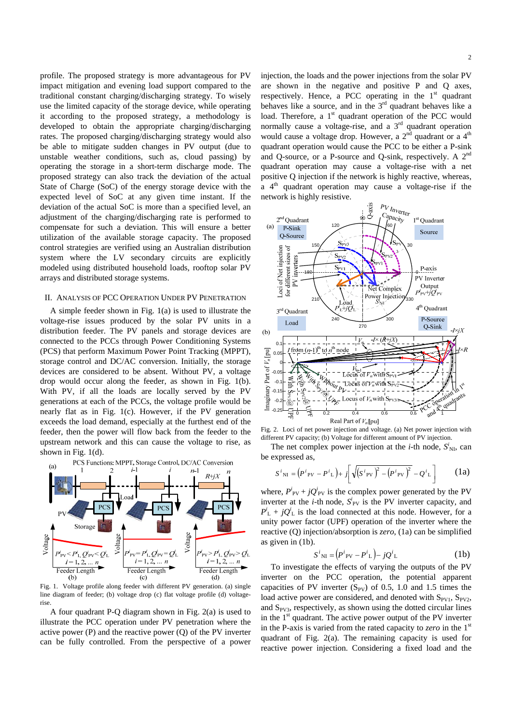profile. The proposed strategy is more advantageous for PV impact mitigation and evening load support compared to the traditional constant charging/discharging strategy. To wisely use the limited capacity of the storage device, while operating it according to the proposed strategy, a methodology is developed to obtain the appropriate charging/discharging rates. The proposed charging/discharging strategy would also be able to mitigate sudden changes in PV output (due to unstable weather conditions, such as, cloud passing) by operating the storage in a short-term discharge mode. The proposed strategy can also track the deviation of the actual State of Charge (SoC) of the energy storage device with the expected level of SoC at any given time instant. If the deviation of the actual SoC is more than a specified level, an adjustment of the charging/discharging rate is performed to compensate for such a deviation. This will ensure a better utilization of the available storage capacity. The proposed control strategies are verified using an Australian distribution system where the LV secondary circuits are explicitly modeled using distributed household loads, rooftop solar PV arrays and distributed storage systems.

#### II. ANALYSIS OF PCC OPERATION UNDER PV PENETRATION

A simple feeder shown in Fig. 1(a) is used to illustrate the voltage-rise issues produced by the solar PV units in a distribution feeder. The PV panels and storage devices are connected to the PCCs through Power Conditioning Systems (PCS) that perform Maximum Power Point Tracking (MPPT), storage control and DC/AC conversion. Initially, the storage devices are considered to be absent. Without PV, a voltage drop would occur along the feeder, as shown in Fig. 1(b). With PV, if all the loads are locally served by the PV generations at each of the PCCs, the voltage profile would be nearly flat as in Fig. 1(c). However, if the PV generation exceeds the load demand, especially at the furthest end of the feeder, then the power will flow back from the feeder to the upstream network and this can cause the voltage to rise, as shown in Fig. 1(d).



Fig. 1. Voltage profile along feeder with different PV generation. (a) single line diagram of feeder; (b) voltage drop (c) flat voltage profile (d) voltagerise.

A four quadrant P-Q diagram shown in Fig. 2(a) is used to illustrate the PCC operation under PV penetration where the active power (P) and the reactive power (Q) of the PV inverter can be fully controlled. From the perspective of a power injection, the loads and the power injections from the solar PV are shown in the negative and positive P and Q axes, respectively. Hence, a PCC operating in the  $1<sup>st</sup>$  quadrant behaves like a source, and in the  $3<sup>rd</sup>$  quadrant behaves like a load. Therefore, a  $1<sup>st</sup>$  quadrant operation of the PCC would normally cause a voltage-rise, and a  $3<sup>rd</sup>$  quadrant operation would cause a voltage drop. However, a  $2<sup>nd</sup>$  quadrant or a  $4<sup>th</sup>$ quadrant operation would cause the PCC to be either a P-sink and Q-source, or a P-source and Q-sink, respectively. A 2nd quadrant operation may cause a voltage-rise with a net positive Q injection if the network is highly reactive, whereas, a  $4<sup>th</sup>$  quadrant operation may cause a voltage-rise if the network is highly resistive.



Fig. 2. Loci of net power injection and voltage. (a) Net power injection with different PV capacity; (b) Voltage for different amount of PV injection.

The net complex power injection at the *i*-th node,  $S_{\text{NI}}^i$ , can be expressed as,

$$
S^{i}_{\text{NI}} = (P^{i}_{\text{PV}} - P^{i}_{\text{L}}) + j \left[ \sqrt{(S^{i}_{\text{PV}})^{2} - (P^{i}_{\text{PV}})^{2}} - Q^{i}_{\text{L}} \right]
$$
 (1a)

where,  $P^i_{PV} + jQ^i_{PV}$  is the complex power generated by the PV inverter at the *i*-th node,  $S_{PV}^{i}$  is the PV inverter capacity, and  $P^i_{\text{L}} + jQ^i_{\text{L}}$  is the load connected at this node. However, for a unity power factor (UPF) operation of the inverter where the reactive (Q) injection/absorption is *zero*, (1a) can be simplified as given in (1b).

$$
S^i{}_{\rm NI} = (P^i{}_{\rm PV} - P^i{}_{\rm L}) - jQ^i{}_{\rm L}
$$
 (1b)

To investigate the effects of varying the outputs of the PV inverter on the PCC operation, the potential apparent capacities of PV inverter  $(S_{PV})$  of 0.5, 1.0 and 1.5 times the load active power are considered, and denoted with  $S_{PV1}$ ,  $S_{PV2}$ , and  $S_{PV3}$ , respectively, as shown using the dotted circular lines in the  $1<sup>st</sup>$  quadrant. The active power output of the PV inverter in the P-axis is varied from the rated capacity to *zero* in the  $1<sup>st</sup>$ quadrant of Fig. 2(a). The remaining capacity is used for reactive power injection. Considering a fixed load and the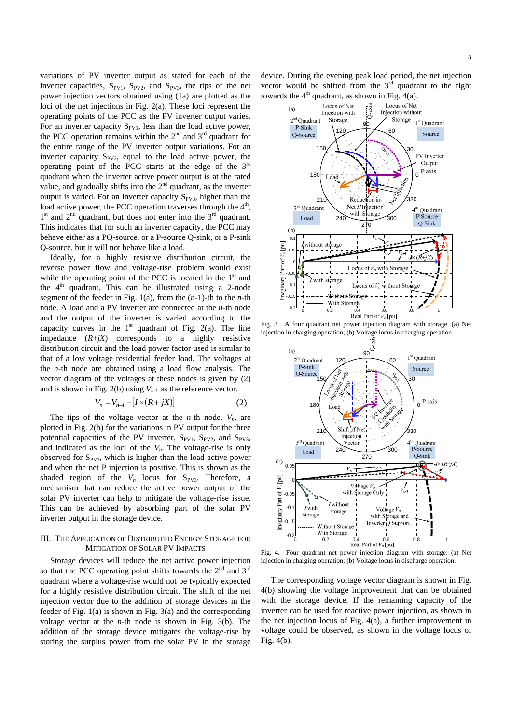variations of PV inverter output as stated for each of the inverter capacities,  $S_{PV1}$ ,  $S_{PV2}$ , and  $S_{PV3}$ , the tips of the net power injection vectors obtained using (1a) are plotted as the loci of the net injections in Fig. 2(a). These loci represent the operating points of the PCC as the PV inverter output varies. For an inverter capacity  $S_{PV1}$ , less than the load active power, the PCC operation remains within the 2<sup>nd</sup> and 3<sup>rd</sup> quadrant for the entire range of the PV inverter output variations. For an inverter capacity  $S_{PV2}$ , equal to the load active power, the operating point of the PCC starts at the edge of the  $3<sup>rd</sup>$ quadrant when the inverter active power output is at the rated value, and gradually shifts into the  $2<sup>nd</sup>$  quadrant, as the inverter output is varied. For an inverter capacity  $S_{PV3}$ , higher than the load active power, the PCC operation traverses through the  $4<sup>th</sup>$ ,  $1<sup>st</sup>$  and  $2<sup>nd</sup>$  quadrant, but does not enter into the  $3<sup>rd</sup>$  quadrant. This indicates that for such an inverter capacity, the PCC may behave either as a PQ-source, or a P-source Q-sink, or a P-sink Q-source, but it will not behave like a load.

Ideally, for a highly resistive distribution circuit, the reverse power flow and voltage-rise problem would exist while the operating point of the PCC is located in the  $1<sup>st</sup>$  and the  $4<sup>th</sup>$  quadrant. This can be illustrated using a 2-node segment of the feeder in Fig. 1(a), from the  $(n-1)$ -th to the *n*-th node. A load and a PV inverter are connected at the *n*-th node and the output of the inverter is varied according to the capacity curves in the  $1<sup>st</sup>$  quadrant of Fig. 2(a). The line impedance  $(R+jX)$  corresponds to a highly resistive distribution circuit and the load power factor used is similar to that of a low voltage residential feeder load. The voltages at the *n*-th node are obtained using a load flow analysis. The vector diagram of the voltages at these nodes is given by (2) and is shown in Fig.  $2(b)$  using  $V_{n-1}$  as the reference vector.

$$
V_n = V_{n-1} - [I \times (R + jX)] \tag{2}
$$

The tips of the voltage vector at the *n*-th node,  $V_n$ , are plotted in Fig. 2(b) for the variations in PV output for the three potential capacities of the PV inverter,  $S_{PV1}$ ,  $S_{PV2}$ , and  $S_{PV3}$ , and indicated as the loci of the  $V_n$ . The voltage-rise is only observed for  $S_{PV3}$ , which is higher than the load active power and when the net P injection is positive. This is shown as the shaded region of the  $V_n$  locus for S<sub>PV3</sub>. Therefore, a mechanism that can reduce the active power output of the solar PV inverter can help to mitigate the voltage-rise issue. This can be achieved by absorbing part of the solar PV inverter output in the storage device.

#### III. THE APPLICATION OF DISTRIBUTED ENERGY STORAGE FOR MITIGATION OF SOLAR PV IMPACTS

Storage devices will reduce the net active power injection so that the PCC operating point shifts towards the  $2<sup>nd</sup>$  and  $3<sup>rd</sup>$ quadrant where a voltage-rise would not be typically expected for a highly resistive distribution circuit. The shift of the net injection vector due to the addition of storage devices in the feeder of Fig. 1(a) is shown in Fig. 3(a) and the corresponding voltage vector at the *n*-th node is shown in Fig. 3(b). The addition of the storage device mitigates the voltage-rise by storing the surplus power from the solar PV in the storage

device. During the evening peak load period, the net injection vector would be shifted from the  $3<sup>rd</sup>$  quadrant to the right towards the 4<sup>th</sup> quadrant, as shown in Fig. 4(a).<br>Locus of Net  $\frac{12}{x^2}$  Locus of Net



Fig. 3. A four quadrant net power injection diagram with storage. (a) Net injection in charging operation; (b) Voltage locus in charging operation.



Fig. 4. Four quadrant net power injection diagram with storage: (a) Net injection in charging operation; (b) Voltage locus in discharge operation.

The corresponding voltage vector diagram is shown in Fig. 4(b) showing the voltage improvement that can be obtained with the storage device. If the remaining capacity of the inverter can be used for reactive power injection, as shown in the net injection locus of Fig. 4(a), a further improvement in voltage could be observed, as shown in the voltage locus of Fig. 4(b).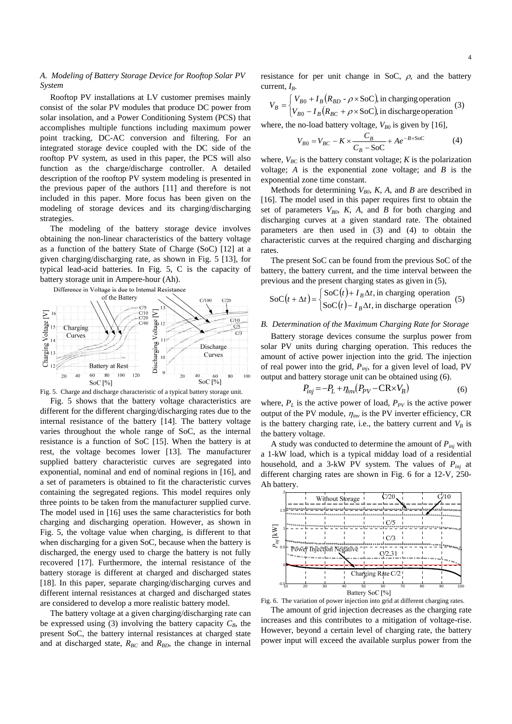#### *A. Modeling of Battery Storage Device for Rooftop Solar PV System*

Rooftop PV installations at LV customer premises mainly consist of the solar PV modules that produce DC power from solar insolation, and a Power Conditioning System (PCS) that accomplishes multiple functions including maximum power point tracking, DC-AC conversion and filtering. For an integrated storage device coupled with the DC side of the rooftop PV system, as used in this paper, the PCS will also function as the charge/discharge controller. A detailed description of the rooftop PV system modeling is presented in the previous paper of the authors [11] and therefore is not included in this paper. More focus has been given on the modeling of storage devices and its charging/discharging strategies.

The modeling of the battery storage device involves obtaining the non-linear characteristics of the battery voltage as a function of the battery State of Charge (SoC) [12] at a given charging/discharging rate, as shown in Fig. 5 [13], for typical lead-acid batteries. In Fig. 5, C is the capacity of battery storage unit in Ampere-hour (Ah).





Fig. 5 shows that the battery voltage characteristics are different for the different charging/discharging rates due to the internal resistance of the battery [14]. The battery voltage varies throughout the whole range of SoC, as the internal resistance is a function of SoC [15]. When the battery is at rest, the voltage becomes lower [13]. The manufacturer supplied battery characteristic curves are segregated into exponential, nominal and end of nominal regions in [16], and a set of parameters is obtained to fit the characteristic curves containing the segregated regions. This model requires only three points to be taken from the manufacturer supplied curve. The model used in [16] uses the same characteristics for both charging and discharging operation. However, as shown in Fig. 5, the voltage value when charging, is different to that when discharging for a given SoC, because when the battery is discharged, the energy used to charge the battery is not fully recovered [17]. Furthermore, the internal resistance of the battery storage is different at charged and discharged states [18]. In this paper, separate charging/discharging curves and different internal resistances at charged and discharged states are considered to develop a more realistic battery model.

The battery voltage at a given charging/discharging rate can be expressed using (3) involving the battery capacity  $C_B$ , the present SoC, the battery internal resistances at charged state and at discharged state,  $R_{BC}$  and  $R_{BD}$ , the change in internal

resistance for per unit change in SoC,  $\rho$ , and the battery current,  $I_B$ .

$$
V_B = \begin{cases} V_{B0} + I_B (R_{BD} - \rho \times \text{SoC}), \text{ in charging operation} \\ V_{B0} - I_B (R_{BC} + \rho \times \text{SoC}), \text{ in discharge operation} \end{cases} (3)
$$

where, the no-load battery voltage,  $V_{B0}$  is given by [16],

$$
V_{B0} = V_{BC} - K \times \frac{C_B}{C_B - \text{Soc}} + Ae^{-B \times \text{Soc}} \tag{4}
$$

where,  $V_{BC}$  is the battery constant voltage;  $K$  is the polarization voltage; *A* is the exponential zone voltage; and *B* is the exponential zone time constant.

Methods for determining  $V_{B0}$ , K, A, and B are described in [16]. The model used in this paper requires first to obtain the set of parameters  $V_{B0}$ ,  $K$ ,  $A$ , and  $B$  for both charging and discharging curves at a given standard rate. The obtained parameters are then used in (3) and (4) to obtain the characteristic curves at the required charging and discharging rates.

The present SoC can be found from the previous SoC of the battery, the battery current, and the time interval between the previous and the present charging states as given in (5),

$$
SoC(t + \Delta t) = \begin{cases} SoC(t) + I_B \Delta t, \text{ in charging operation} \\ SoC(t) - I_B \Delta t, \text{ in discharge operation} \end{cases} (5)
$$

#### *B. Determination of the Maximum Charging Rate for Storage*

Battery storage devices consume the surplus power from solar PV units during charging operation. This reduces the amount of active power injection into the grid. The injection of real power into the grid, *Pinj*, for a given level of load, PV output and battery storage unit can be obtained using (6).

$$
P_{inj} = -P_L + \eta_{inv}(P_{PV} - \text{CR} \times V_B)
$$
 (6)

where,  $P_L$  is the active power of load,  $P_{PV}$  is the active power output of the PV module,  $\eta_{inv}$  is the PV inverter efficiency, CR is the battery charging rate, i.e., the battery current and  $V_B$  is the battery voltage.

A study was conducted to determine the amount of  $P_{inj}$  with a 1-kW load, which is a typical midday load of a residential household, and a 3-kW PV system. The values of *Pinj* at different charging rates are shown in Fig. 6 for a 12-V, 250- Ah battery.



The amount of grid injection decreases as the charging rate increases and this contributes to a mitigation of voltage-rise. However, beyond a certain level of charging rate, the battery power input will exceed the available surplus power from the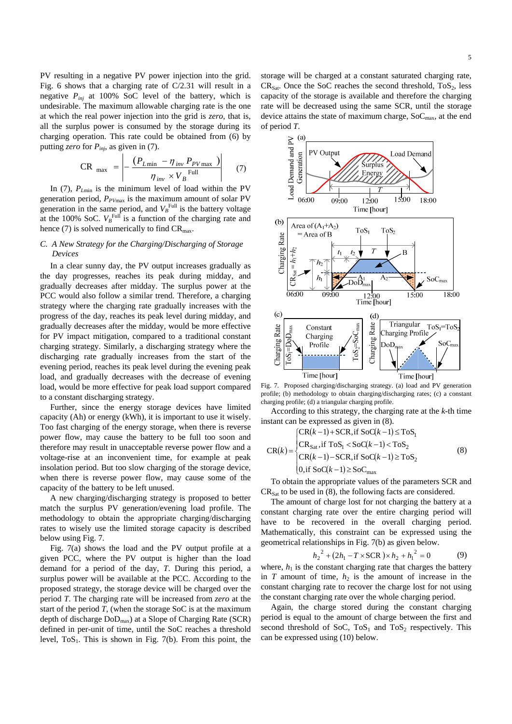PV resulting in a negative PV power injection into the grid. Fig. 6 shows that a charging rate of C/2.31 will result in a negative  $P_{ini}$  at 100% SoC level of the battery, which is undesirable. The maximum allowable charging rate is the one at which the real power injection into the grid is *zero*, that is, all the surplus power is consumed by the storage during its charging operation. This rate could be obtained from (6) by putting *zero* for  $P_{ini}$ , as given in (7).

$$
CR_{\max} = \left| -\frac{\left(P_{L\min} - \eta_{inv} P_{PV\max}\right)}{\eta_{inv} \times V_B^{\text{Full}}} \right| \tag{7}
$$

In (7),  $P_{Lmin}$  is the minimum level of load within the PV generation period,  $P_{PVmax}$  is the maximum amount of solar PV generation in the same period, and  $V_B^{\text{Full}}$  is the battery voltage at the 100% SoC.  $V_B^{\text{Full}}$  is a function of the charging rate and hence (7) is solved numerically to find  $CR<sub>max</sub>$ .

#### *C. A New Strategy for the Charging/Discharging of Storage Devices*

In a clear sunny day, the PV output increases gradually as the day progresses, reaches its peak during midday, and gradually decreases after midday. The surplus power at the PCC would also follow a similar trend. Therefore, a charging strategy where the charging rate gradually increases with the progress of the day, reaches its peak level during midday, and gradually decreases after the midday, would be more effective for PV impact mitigation, compared to a traditional constant charging strategy. Similarly, a discharging strategy where the discharging rate gradually increases from the start of the evening period, reaches its peak level during the evening peak load, and gradually decreases with the decrease of evening load, would be more effective for peak load support compared to a constant discharging strategy.

Further, since the energy storage devices have limited capacity (Ah) or energy (kWh), it is important to use it wisely. Too fast charging of the energy storage, when there is reverse power flow, may cause the battery to be full too soon and therefore may result in unacceptable reverse power flow and a voltage-rise at an inconvenient time, for example at peak insolation period. But too slow charging of the storage device, when there is reverse power flow, may cause some of the capacity of the battery to be left unused.

A new charging/discharging strategy is proposed to better match the surplus PV generation/evening load profile. The methodology to obtain the appropriate charging/discharging rates to wisely use the limited storage capacity is described below using Fig. 7.

Fig. 7(a) shows the load and the PV output profile at a given PCC, where the PV output is higher than the load demand for a period of the day, *T*. During this period, a surplus power will be available at the PCC. According to the proposed strategy, the storage device will be charged over the period *T*. The charging rate will be increased from *zero* at the start of the period *T*, (when the storage SoC is at the maximum depth of discharge DoDmax) at a Slope of Charging Rate (SCR) defined in per-unit of time, until the SoC reaches a threshold level,  $ToS<sub>1</sub>$ . This is shown in Fig. 7(b). From this point, the

storage will be charged at a constant saturated charging rate,  $CR_{Sat}$ . Once the SoC reaches the second threshold,  $ToS_2$ , less capacity of the storage is available and therefore the charging rate will be decreased using the same SCR, until the storage device attains the state of maximum charge,  $SoC<sub>max</sub>$ , at the end of period *T*.



Fig. 7. Proposed charging/discharging strategy. (a) load and PV generation profile; (b) methodology to obtain charging/discharging rates; (c) a constant charging profile; (d) a triangular charging profile.

According to this strategy, the charging rate at the *k*-th time instant can be expressed as given in (8).

 $[CR(k-1) + SCR, if SoC(k-1) \leq ToS<sub>1</sub>$ 

$$
CR(k) = \begin{cases} CR_{Sat}, & \text{if } TSS_1 < SoC(k-1) < TSS_2\\ CR(k-1) - SCR, & \text{if } SoC(k-1) \ge TSS_2\\ 0, & \text{if } SoC(k-1) \ge SOC_{\text{max}} \end{cases} \tag{8}
$$

To obtain the appropriate values of the parameters SCR and  $CR<sub>Sat</sub>$  to be used in (8), the following facts are considered.

The amount of charge lost for not charging the battery at a constant charging rate over the entire charging period will have to be recovered in the overall charging period. Mathematically, this constraint can be expressed using the geometrical relationships in Fig. 7(b) as given below.

$$
h_2^2 + (2h_1 - T \times \text{SCR}) \times h_2 + h_1^2 = 0 \tag{9}
$$

where,  $h_1$  is the constant charging rate that charges the battery in  $T$  amount of time,  $h_2$  is the amount of increase in the constant charging rate to recover the charge lost for not using the constant charging rate over the whole charging period.

Again, the charge stored during the constant charging period is equal to the amount of charge between the first and second threshold of SoC,  $ToS_1$  and  $ToS_2$  respectively. This can be expressed using (10) below.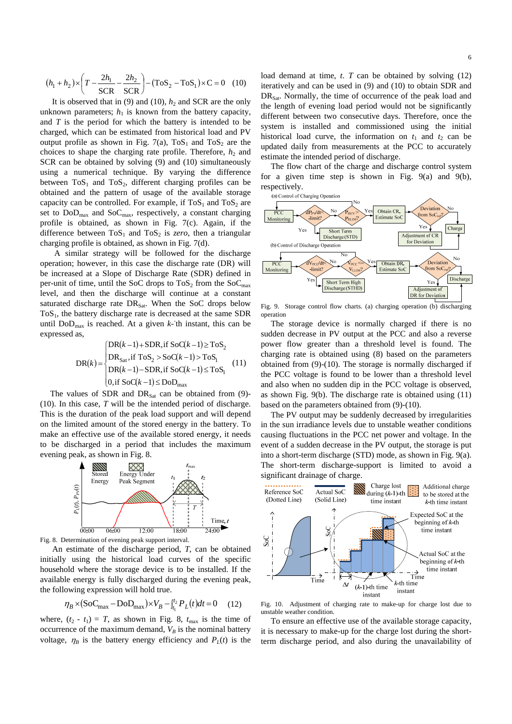$$
(h_1 + h_2) \times \left( T - \frac{2h_1}{SCR} - \frac{2h_2}{SCR} \right) - (T \circ S_2 - T \circ S_1) \times C = 0 \quad (10)
$$

It is observed that in  $(9)$  and  $(10)$ ,  $h_2$  and SCR are the only unknown parameters;  $h_1$  is known from the battery capacity, and *T* is the period for which the battery is intended to be charged, which can be estimated from historical load and PV output profile as shown in Fig. 7(a),  $T_0S_1$  and  $T_0S_2$  are the choices to shape the charging rate profile. Therefore,  $h_2$  and SCR can be obtained by solving (9) and (10) simultaneously using a numerical technique. By varying the difference between  $ToS_1$  and  $ToS_2$ , different charging profiles can be obtained and the pattern of usage of the available storage capacity can be controlled. For example, if  $T_0S_1$  and  $T_0S_2$  are set to  $DoD<sub>max</sub>$  and  $SoC<sub>max</sub>$ , respectively, a constant charging profile is obtained, as shown in Fig. 7(c). Again, if the difference between  $ToS_1$  and  $ToS_2$  is *zero*, then a triangular charging profile is obtained, as shown in Fig. 7(d).

 A similar strategy will be followed for the discharge operation; however, in this case the discharge rate (DR) will be increased at a Slope of Discharge Rate (SDR) defined in per-unit of time, until the SoC drops to  $T \circ S_2$  from the SoC<sub>max</sub> level, and then the discharge will continue at a constant saturated discharge rate  $DR<sub>Sat</sub>$ . When the SoC drops below  $ToS<sub>1</sub>$ , the battery discharge rate is decreased at the same SDR until DoDmax is reached. At a given *k-*- th instant, this can be expressed as,

$$
DR(k) = \begin{cases} DR(k-1) + SDR, \text{if } SOC(k-1) \geq ToS_2\\ DR_{\text{Sat}}, \text{if } TS_2 > SOC(k-1) > ToS_1\\ DR(k-1) - SDR, \text{if } SoC(k-1) \leq ToS_1\\0, \text{if } SOC(k-1) \leq DoS_{\text{max}} \end{cases}
$$
(11)

The values of SDR and  $DR<sub>Sat</sub>$  can be obtained from (9)-(10). In this case, *T* will be the intended period of discharge. This is the duration of the peak load support and will depend on the limited amount of the stored energy in the battery. To make an effective use of the available stored energy, it needs to be discharged in a period that includes the maximum evening peak, as shown in Fig. 8.



Fig. 8. Determination of evening peak support interval.

 An estimate of the discharge period, *T*, can be obtained initially using the historical load curves of the specific household where the storage device is to be installed. If the available energy is fully discharged during the evening peak, the following expression will hold true.

$$
\eta_B \times (\text{SoC}_{\text{max}} - \text{DoD}_{\text{max}}) \times V_B - J_{t_1}^{t_2} P_L(t) dt = 0 \quad (12)
$$

where,  $(t_2 - t_1) = T$ , as shown in Fig. 8,  $t_{\text{max}}$  is the time of occurrence of the maximum demand,  $V_B$  is the nominal battery voltage,  $\eta_B$  is the battery energy efficiency and  $P_L(t)$  is the

load demand at time, *t*. *T* can be obtained by solving (12) iteratively and can be used in (9) and (10) to obtain SDR and  $DR<sub>Sat</sub>$ . Normally, the time of occurrence of the peak load and the length of evening load period would not be significantly different between two consecutive days. Therefore, once the system is installed and commissioned using the initial historical load curve, the information on  $t_1$  and  $t_2$  can be updated daily from measurements at the PCC to accurately estimate the intended period of discharge.

The flow chart of the charge and discharge control system for a given time step is shown in Fig.  $9(a)$  and  $9(b)$ , respectively.

(a) Control of Charging Operation



Fig. 9. Storage control flow charts. (a) charging operation (b) discharging operation

The storage device is normally charged if there is no sudden decrease in PV output at the PCC and also a reverse power flow greater than a threshold level is found. The charging rate is obtained using (8) based on the parameters obtained from (9)-(10). The storage is normally discharged if the PCC voltage is found to be lower than a threshold level and also when no sudden dip in the PCC voltage is observed, as shown Fig. 9(b). The discharge rate is obtained using (11) based on the parameters obtained from (9)-(10).

The PV output may be suddenly decreased by irregularities in the sun irradiance levels due to unstable weather conditions causing fluctuations in the PCC net power and voltage. In the event of a sudden decrease in the PV output, the storage is put into a short-term discharge (STD) mode, as shown in Fig. 9(a). The short-term discharge-support is limited to avoid a significant drainage of charge.



Fig. 10. Adjustment of charging rate to make-up for charge lost due to unstable weather condition.

To ensure an effective use of the available storage capacity, it is necessary to make-up for the charge lost during the shortterm discharge period, and also during the unavailability of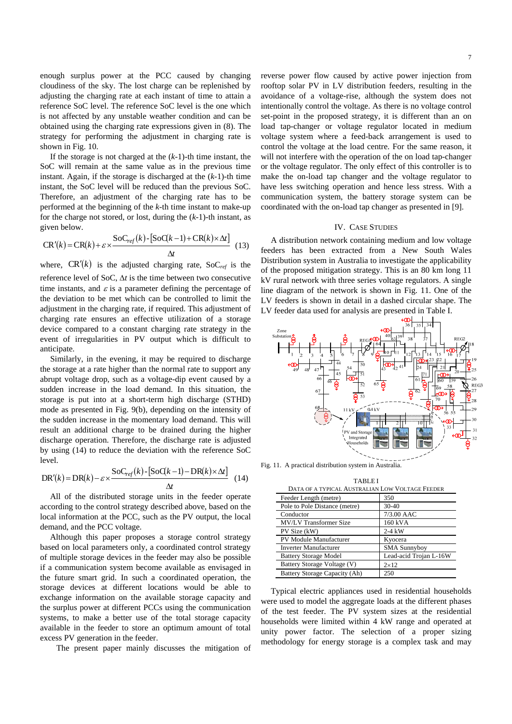enough surplus power at the PCC caused by changing cloudiness of the sky. The lost charge can be replenished by adjusting the charging rate at each instant of time to attain a reference SoC level. The reference SoC level is the one which is not affected by any unstable weather condition and can be obtained using the charging rate expressions given in (8). The strategy for performing the adjustment in charging rate is shown in Fig. 10.

If the storage is not charged at the (*k*-1)-th time instant, the SoC will remain at the same value as in the previous time instant. Again, if the storage is discharged at the  $(k-1)$ -th time instant, the SoC level will be reduced than the previous SoC. Therefore, an adjustment of the charging rate has to be performed at the beginning of the *k*-th time instant to make-up for the charge not stored, or lost, during the (*k*-1)-th instant, as given below.

$$
CR'(k) = CR(k) + \varepsilon \times \frac{SoC_{ref}(k) - [SoC(k-1) + CR(k) \times \Delta t]}{\Delta t}
$$
(13)

where,  $CR'(k)$  is the adjusted charging rate,  $SoC_{ref}$  is the reference level of SoC,  $\Delta t$  is the time between two consecutive time instants, and  $\varepsilon$  is a parameter defining the percentage of the deviation to be met which can be controlled to limit the adjustment in the charging rate, if required. This adjustment of charging rate ensures an effective utilization of a storage device compared to a constant charging rate strategy in the event of irregularities in PV output which is difficult to anticipate.

Similarly, in the evening, it may be required to discharge the storage at a rate higher than the normal rate to support any abrupt voltage drop, such as a voltage-dip event caused by a sudden increase in the load demand. In this situation, the storage is put into at a short-term high discharge (STHD) mode as presented in Fig. 9(b), depending on the intensity of the sudden increase in the momentary load demand. This will result an additional charge to be drained during the higher discharge operation. Therefore, the discharge rate is adjusted by using (14) to reduce the deviation with the reference SoC level.

$$
DR'(k) = DR(k) - \varepsilon \times \frac{SoC_{ref}(k) - [SoC(k-1) - DR(k) \times \Delta t]}{\Delta t}
$$
 (14)

All of the distributed storage units in the feeder operate according to the control strategy described above, based on the local information at the PCC, such as the PV output, the local demand, and the PCC voltage.

Although this paper proposes a storage control strategy based on local parameters only, a coordinated control strategy of multiple storage devices in the feeder may also be possible if a communication system become available as envisaged in the future smart grid. In such a coordinated operation, the storage devices at different locations would be able to exchange information on the available storage capacity and the surplus power at different PCCs using the communication systems, to make a better use of the total storage capacity available in the feeder to store an optimum amount of total excess PV generation in the feeder.

The present paper mainly discusses the mitigation of

reverse power flow caused by active power injection from rooftop solar PV in LV distribution feeders, resulting in the avoidance of a voltage-rise, although the system does not intentionally control the voltage. As there is no voltage control set-point in the proposed strategy, it is different than an on load tap-changer or voltage regulator located in medium voltage system where a feed-back arrangement is used to control the voltage at the load centre. For the same reason, it will not interfere with the operation of the on load tap-changer or the voltage regulator. The only effect of this controller is to make the on-load tap changer and the voltage regulator to have less switching operation and hence less stress. With a communication system, the battery storage system can be coordinated with the on-load tap changer as presented in [9].

#### IV. CASE STUDIES

A distribution network containing medium and low voltage feeders has been extracted from a New South Wales Distribution system in Australia to investigate the applicability of the proposed mitigation strategy. This is an 80 km long 11 kV rural network with three series voltage regulators. A single line diagram of the network is shown in Fig. 11. One of the LV feeders is shown in detail in a dashed circular shape. The LV feeder data used for analysis are presented in Table I.



Fig. 11. A practical distribution system in Australia.

TABLE I

| DATA OF A TYPICAL AUSTRALIAN LOW VOLTAGE FEEDER |                        |
|-------------------------------------------------|------------------------|
| Feeder Length (metre)                           | 350                    |
| Pole to Pole Distance (metre)                   | $30 - 40$              |
| Conductor                                       | $7/3.00$ AAC           |
| <b>MV/LV</b> Transformer Size                   | 160 kVA                |
| PV Size (kW)                                    | $2-4$ kW               |
| PV Module Manufacturer                          | Kyocera                |
| <b>Inverter Manufacturer</b>                    | <b>SMA Sunnyboy</b>    |
| <b>Battery Storage Model</b>                    | Lead-acid Trojan L-16W |
| Battery Storage Voltage (V)                     | $2\times12$            |
| Battery Storage Capacity (Ah)                   | 250                    |

Typical electric appliances used in residential households were used to model the aggregate loads at the different phases of the test feeder. The PV system sizes at the residential households were limited within 4 kW range and operated at unity power factor. The selection of a proper sizing methodology for energy storage is a complex task and may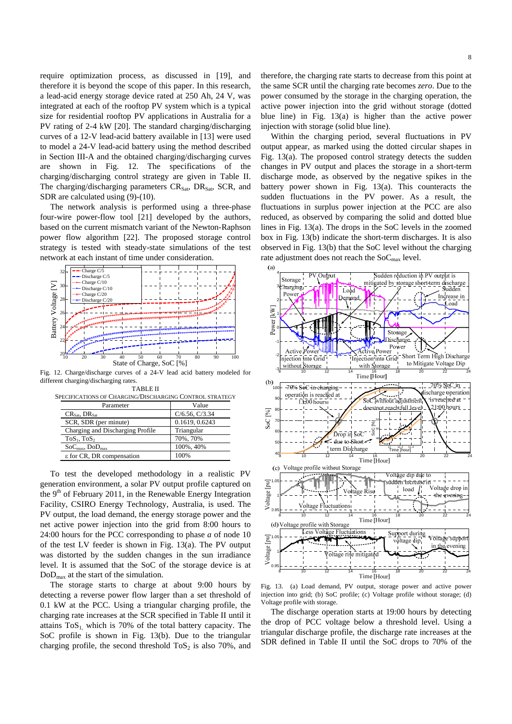require optimization process, as discussed in [19], and therefore it is beyond the scope of this paper. In this research, a lead-acid energy storage device rated at 250 Ah, 24 V, was integrated at each of the rooftop PV system which is a typical size for residential rooftop PV applications in Australia for a PV rating of 2-4 kW [20]. The standard charging/discharging curves of a 12-V lead-acid battery available in [13] were used to model a 24-V lead-acid battery using the method described in Section III-A and the obtained charging/discharging curves are shown in Fig. 12. The specifications of the charging/discharging control strategy are given in Table II. The charging/discharging parameters  $CR_{Sat}$ , DR<sub>Sat</sub>, SCR, and SDR are calculated using (9)-(10).

The network analysis is performed using a three-phase four-wire power-flow tool [21] developed by the authors, based on the current mismatch variant of the Newton-Raphson power flow algorithm [22]. The proposed storage control strategy is tested with steady-state simulations of the test network at each instant of time under consideration.



Fig. 12. Charge/discharge curves of a 24-V lead acid battery modeled for different charging/discharging rates.

TABLE II SPECIFICATIONS OF CHARGING/DISCHARGING CONTROL STRATEGY

| Parameter                               | Value               |
|-----------------------------------------|---------------------|
| $CR_{\text{Sat}}$ , DR <sub>Sat</sub>   | $C/6.56$ , $C/3.34$ |
| SCR, SDR (per minute)                   | 0.1619, 0.6243      |
| Charging and Discharging Profile        | Triangular          |
| ToS <sub>1</sub> , ToS <sub>2</sub>     | 70%, 70%            |
| $SoC_{\text{max}}$ , $DoD_{\text{max}}$ | 100%, 40%           |
| $\epsilon$ for CR, DR compensation      | 100%                |

To test the developed methodology in a realistic PV generation environment, a solar PV output profile captured on the  $9<sup>th</sup>$  of February 2011, in the Renewable Energy Integration Facility, CSIRO Energy Technology, Australia, is used. The PV output, the load demand, the energy storage power and the net active power injection into the grid from 8:00 hours to 24:00 hours for the PCC corresponding to phase *a* of node 10 of the test LV feeder is shown in Fig. 13(a). The PV output was distorted by the sudden changes in the sun irradiance level. It is assumed that the SoC of the storage device is at DoDmax at the start of the simulation.

The storage starts to charge at about 9:00 hours by detecting a reverse power flow larger than a set threshold of 0.1 kW at the PCC. Using a triangular charging profile, the charging rate increases at the SCR specified in Table II until it attains  $T_0S_1$ , which is 70% of the total battery capacity. The SoC profile is shown in Fig. 13(b). Due to the triangular charging profile, the second threshold  $T_0S_2$  is also 70%, and

therefore, the charging rate starts to decrease from this point at the same SCR until the charging rate becomes *zero*. Due to the power consumed by the storage in the charging operation, the active power injection into the grid without storage (dotted blue line) in Fig. 13(a) is higher than the active power injection with storage (solid blue line).

Within the charging period, several fluctuations in PV output appear, as marked using the dotted circular shapes in Fig. 13(a). The proposed control strategy detects the sudden changes in PV output and places the storage in a short-term discharge mode, as observed by the negative spikes in the battery power shown in Fig. 13(a). This counteracts the sudden fluctuations in the PV power. As a result, the fluctuations in surplus power injection at the PCC are also reduced, as observed by comparing the solid and dotted blue lines in Fig. 13(a). The drops in the SoC levels in the zoomed box in Fig. 13(b) indicate the short-term discharges. It is also observed in Fig. 13(b) that the SoC level without the charging rate adjustment does not reach the  $SoC<sub>max</sub>$  level.



Fig. 13. (a) Load demand, PV output, storage power and active power injection into grid; (b) SoC profile; (c) Voltage profile without storage; (d) Voltage profile with storage.

The discharge operation starts at 19:00 hours by detecting the drop of PCC voltage below a threshold level. Using a triangular discharge profile, the discharge rate increases at the SDR defined in Table II until the SoC drops to 70% of the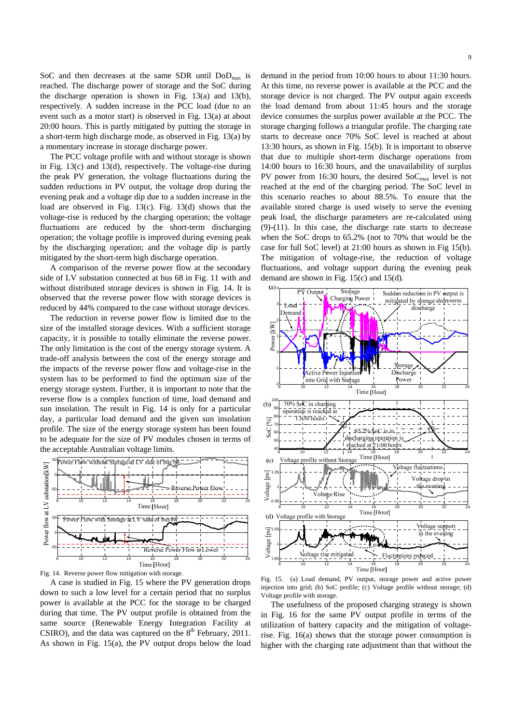SoC and then decreases at the same SDR until  $DoD<sub>max</sub>$  is reached. The discharge power of storage and the SoC during the discharge operation is shown in Fig. 13(a) and 13(b), respectively. A sudden increase in the PCC load (due to an event such as a motor start) is observed in Fig. 13(a) at about 20:00 hours. This is partly mitigated by putting the storage in a short-term high discharge mode, as observed in Fig. 13(a) by a momentary increase in storage discharge power.

The PCC voltage profile with and without storage is shown in Fig. 13(c) and 13(d), respectively. The voltage-rise during the peak PV generation, the voltage fluctuations during the sudden reductions in PV output, the voltage drop during the evening peak and a voltage dip due to a sudden increase in the load are observed in Fig. 13(c). Fig. 13(d) shows that the voltage-rise is reduced by the charging operation; the voltage fluctuations are reduced by the short-term discharging operation; the voltage profile is improved during evening peak by the discharging operation; and the voltage dip is partly mitigated by the short-term high discharge operation.

A comparison of the reverse power flow at the secondary side of LV substation connected at bus 68 in Fig. 11 with and without distributed storage devices is shown in Fig. 14. It is observed that the reverse power flow with storage devices is reduced by 44% compared to the case without storage devices.

The reduction in reverse power flow is limited due to the size of the installed storage devices. With a sufficient storage capacity, it is possible to totally eliminate the reverse power. The only limitation is the cost of the energy storage system. A trade-off analysis between the cost of the energy storage and the impacts of the reverse power flow and voltage-rise in the system has to be performed to find the optimum size of the energy storage system. Further, it is important to note that the reverse flow is a complex function of time, load demand and sun insolation. The result in Fig. 14 is only for a particular day, a particular load demand and the given sun insolation profile. The size of the energy storage system has been found to be adequate for the size of PV modules chosen in terms of the acceptable Australian voltage limits.



Fig. 14. Reverse power flow mitigation with storage.

A case is studied in Fig. 15 where the PV generation drops down to such a low level for a certain period that no surplus power is available at the PCC for the storage to be charged during that time. The PV output profile is obtained from the same source (Renewable Energy Integration Facility at CSIRO), and the data was captured on the  $8<sup>th</sup>$  February, 2011. As shown in Fig. 15(a), the PV output drops below the load

demand in the period from 10:00 hours to about 11:30 hours. At this time, no reverse power is available at the PCC and the storage device is not charged. The PV output again exceeds the load demand from about 11:45 hours and the storage device consumes the surplus power available at the PCC. The storage charging follows a triangular profile. The charging rate starts to decrease once 70% SoC level is reached at about 13:30 hours, as shown in Fig. 15(b). It is important to observe that due to multiple short-term discharge operations from 14:00 hours to 16:30 hours, and the unavailability of surplus PV power from 16:30 hours, the desired  $SoC<sub>max</sub>$  level is not reached at the end of the charging period. The SoC level in this scenario reaches to about 88.5%. To ensure that the available stored charge is used wisely to serve the evening peak load, the discharge parameters are re-calculated using (9)-(11). In this case, the discharge rate starts to decrease when the SoC drops to 65.2% (not to 70% that would be the case for full SoC level) at 21:00 hours as shown in Fig 15(b). The mitigation of voltage-rise, the reduction of voltage fluctuations, and voltage support during the evening peak demand are shown in Fig. 15(c) and 15(d).



Fig. 15. (a) Load demand, PV output, storage power and active power injection into grid; (b) SoC profile; (c) Voltage profile without storage; (d) Voltage profile with storage.

The usefulness of the proposed charging strategy is shown in Fig. 16 for the same PV output profile in terms of the utilization of battery capacity and the mitigation of voltagerise. Fig. 16(a) shows that the storage power consumption is higher with the charging rate adjustment than that without the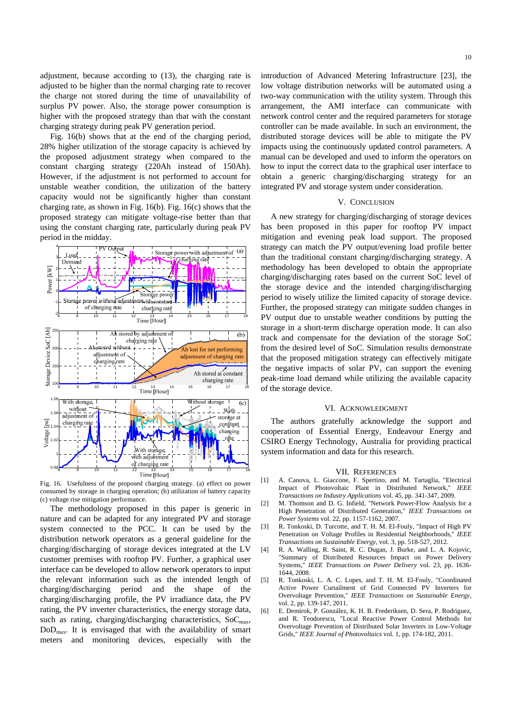adjustment, because according to (13), the charging rate is adjusted to be higher than the normal charging rate to recover the charge not stored during the time of unavailability of surplus PV power. Also, the storage power consumption is higher with the proposed strategy than that with the constant charging strategy during peak PV generation period.

Fig. 16(b) shows that at the end of the charging period, 28% higher utilization of the storage capacity is achieved by the proposed adjustment strategy when compared to the constant charging strategy (220Ah instead of 150Ah). However, if the adjustment is not performed to account for unstable weather condition, the utilization of the battery capacity would not be significantly higher than constant charging rate, as shown in Fig. 16(b). Fig. 16(c) shows that the proposed strategy can mitigate voltage-rise better than that using the constant charging rate, particularly during peak PV period in the midday.



Fig. 16. Usefulness of the proposed charging strategy. (a) effect on power consumed by storage in charging operation; (b) utilization of battery capacity (c) voltage rise mitigation performance.

The methodology proposed in this paper is generic in nature and can be adapted for any integrated PV and storage system connected to the PCC. It can be used by the distribution network operators as a general guideline for the charging/discharging of storage devices integrated at the LV customer premises with rooftop PV. Further, a graphical user interface can be developed to allow network operators to input the relevant information such as the intended length of charging/discharging period and the shape of the charging/discharging profile, the PV irradiance data, the PV rating, the PV inverter characteristics, the energy storage data, such as rating, charging/discharging characteristics,  $\text{SoC}_{\text{max}}$ ,  $DoD<sub>max</sub>$ . It is envisaged that with the availability of smart meters and monitoring devices, especially with the

introduction of Advanced Metering Infrastructure [23], the low voltage distribution networks will be automated using a two-way communication with the utility system. Through this arrangement, the AMI interface can communicate with network control center and the required parameters for storage controller can be made available. In such an environment, the distributed storage devices will be able to mitigate the PV impacts using the continuously updated control parameters. A manual can be developed and used to inform the operators on how to input the correct data to the graphical user interface to obtain a generic charging/discharging strategy for an integrated PV and storage system under consideration.

#### V. CONCLUSION

A new strategy for charging/discharging of storage devices has been proposed in this paper for rooftop PV impact mitigation and evening peak load support. The proposed strategy can match the PV output/evening load profile better than the traditional constant charging/discharging strategy. A methodology has been developed to obtain the appropriate charging/discharging rates based on the current SoC level of the storage device and the intended charging/discharging period to wisely utilize the limited capacity of storage device. Further, the proposed strategy can mitigate sudden changes in PV output due to unstable weather conditions by putting the storage in a short-term discharge operation mode. It can also track and compensate for the deviation of the storage SoC from the desired level of SoC. Simulation results demonstrate that the proposed mitigation strategy can effectively mitigate the negative impacts of solar PV, can support the evening peak-time load demand while utilizing the available capacity of the storage device.

#### VI. ACKNOWLEDGMENT

The authors gratefully acknowledge the support and cooperation of Essential Energy, Endeavour Energy and CSIRO Energy Technology, Australia for providing practical system information and data for this research.

#### VII. REFERENCES

- [1] A. Canova, L. Giaccone, F. Spertino, and M. Tartaglia, "Electrical Impact of Photovoltaic Plant in Distributed Network." *Transactions on Industry Applications* vol. 45, pp. 341-347, 2009.
- [2] M. Thomson and D. G. Infield, "Network Power-Flow Analysis for a High Penetration of Distributed Generation," *IEEE Transactions on Power Systems* vol. 22, pp. 1157-1162, 2007.
- [3] R. Tonkoski, D. Turcotte, and T. H. M. El-Fouly, "Impact of High PV Penetration on Voltage Profiles in Residential Neighborhoods," *IEEE Transactions on Sustainable Energy,* vol. 3, pp. 518-527, 2012.
- [4] R. A. Walling, R. Saint, R. C. Dugan, J. Burke, and L. A. Kojovic, "Summary of Distributed Resources Impact on Power Delivery Systems," *IEEE Transactions on Power Delivery* vol. 23, pp. 1636- 1644, 2008.
- [5] R. Tonkoski, L. A. C. Lopes, and T. H. M. El-Fouly, "Coordinated Active Power Curtailment of Grid Connected PV Inverters for Overvoltage Prevention," *IEEE Transactions on Sustainable Energy,*  vol. 2, pp. 139-147, 2011.
- [6] E. Demirok, P. González, K. H. B. Frederiksen, D. Sera, P. Rodriguez, and R. Teodorescu, "Local Reactive Power Control Methods for Overvoltage Prevention of Distributed Solar Inverters in Low-Voltage Grids," *IEEE Journal of Photovoltaics* vol. 1, pp. 174-182, 2011.